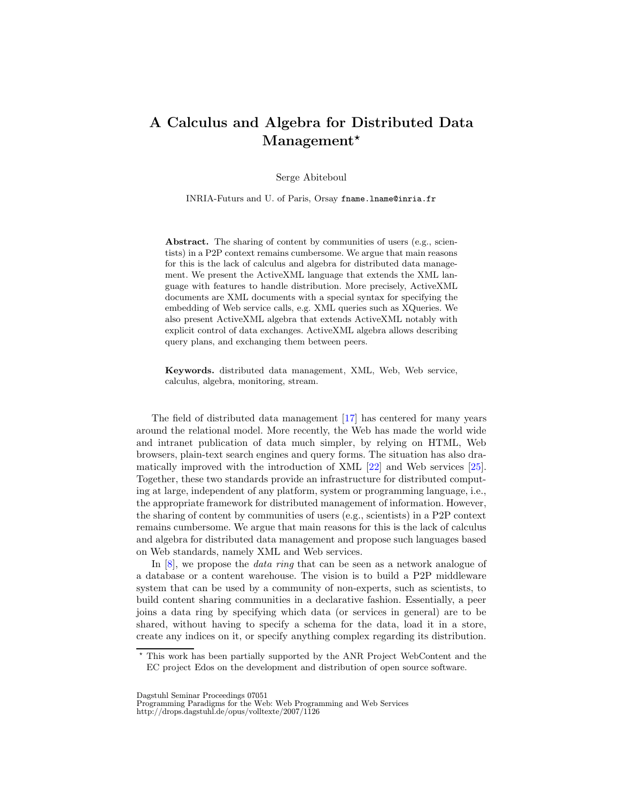## A Calculus and Algebra for Distributed Data Management\*

Serge Abiteboul

INRIA-Futurs and U. of Paris, Orsay fname.lname@inria.fr

Abstract. The sharing of content by communities of users (e.g., scientists) in a P2P context remains cumbersome. We argue that main reasons for this is the lack of calculus and algebra for distributed data management. We present the ActiveXML language that extends the XML language with features to handle distribution. More precisely, ActiveXML documents are XML documents with a special syntax for specifying the embedding of Web service calls, e.g. XML queries such as XQueries. We also present ActiveXML algebra that extends ActiveXML notably with explicit control of data exchanges. ActiveXML algebra allows describing query plans, and exchanging them between peers.

Keywords. distributed data management, XML, Web, Web service, calculus, algebra, monitoring, stream.

The field of distributed data management [\[17\]](#page-2-0) has centered for many years around the relational model. More recently, the Web has made the world wide and intranet publication of data much simpler, by relying on HTML, Web browsers, plain-text search engines and query forms. The situation has also dramatically improved with the introduction of XML [\[22\]](#page-3-0) and Web services [\[25\]](#page-3-1). Together, these two standards provide an infrastructure for distributed computing at large, independent of any platform, system or programming language, i.e., the appropriate framework for distributed management of information. However, the sharing of content by communities of users (e.g., scientists) in a P2P context remains cumbersome. We argue that main reasons for this is the lack of calculus and algebra for distributed data management and propose such languages based on Web standards, namely XML and Web services.

In [\[8\]](#page-2-1), we propose the *data ring* that can be seen as a network analogue of a database or a content warehouse. The vision is to build a P2P middleware system that can be used by a community of non-experts, such as scientists, to build content sharing communities in a declarative fashion. Essentially, a peer joins a data ring by specifying which data (or services in general) are to be shared, without having to specify a schema for the data, load it in a store, create any indices on it, or specify anything complex regarding its distribution.

<sup>?</sup> This work has been partially supported by the ANR Project WebContent and the EC project Edos on the development and distribution of open source software.

Dagstuhl Seminar Proceedings 07051

Programming Paradigms for the Web: Web Programming and Web Services http://drops.dagstuhl.de/opus/volltexte/2007/1126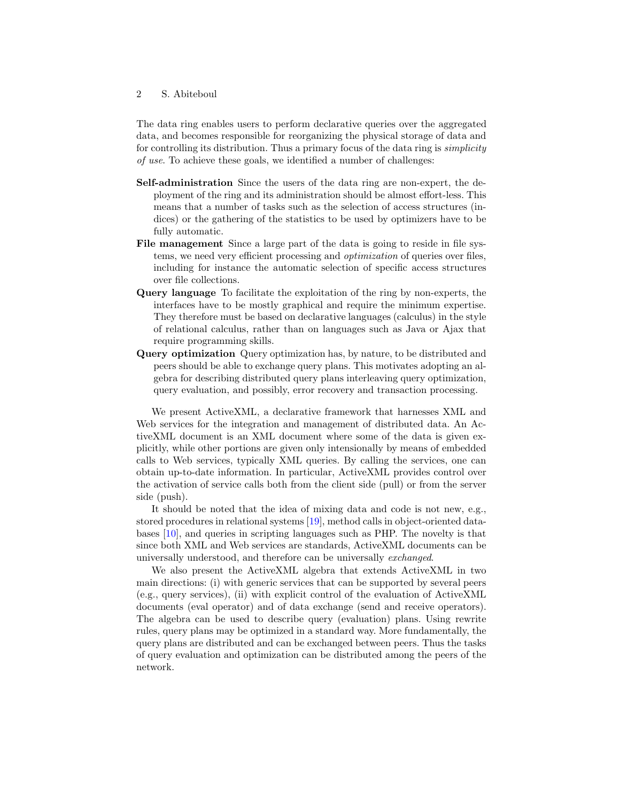## 2 S. Abiteboul

The data ring enables users to perform declarative queries over the aggregated data, and becomes responsible for reorganizing the physical storage of data and for controlling its distribution. Thus a primary focus of the data ring is simplicity of use. To achieve these goals, we identified a number of challenges:

- Self-administration Since the users of the data ring are non-expert, the deployment of the ring and its administration should be almost effort-less. This means that a number of tasks such as the selection of access structures (indices) or the gathering of the statistics to be used by optimizers have to be fully automatic.
- File management Since a large part of the data is going to reside in file systems, we need very efficient processing and optimization of queries over files, including for instance the automatic selection of specific access structures over file collections.
- Query language To facilitate the exploitation of the ring by non-experts, the interfaces have to be mostly graphical and require the minimum expertise. They therefore must be based on declarative languages (calculus) in the style of relational calculus, rather than on languages such as Java or Ajax that require programming skills.
- Query optimization Query optimization has, by nature, to be distributed and peers should be able to exchange query plans. This motivates adopting an algebra for describing distributed query plans interleaving query optimization, query evaluation, and possibly, error recovery and transaction processing.

We present ActiveXML, a declarative framework that harnesses XML and Web services for the integration and management of distributed data. An ActiveXML document is an XML document where some of the data is given explicitly, while other portions are given only intensionally by means of embedded calls to Web services, typically XML queries. By calling the services, one can obtain up-to-date information. In particular, ActiveXML provides control over the activation of service calls both from the client side (pull) or from the server side (push).

It should be noted that the idea of mixing data and code is not new, e.g., stored procedures in relational systems [\[19\]](#page-3-2), method calls in object-oriented databases [\[10\]](#page-2-2), and queries in scripting languages such as PHP. The novelty is that since both XML and Web services are standards, ActiveXML documents can be universally understood, and therefore can be universally exchanged.

We also present the ActiveXML algebra that extends ActiveXML in two main directions: (i) with generic services that can be supported by several peers (e.g., query services), (ii) with explicit control of the evaluation of ActiveXML documents (eval operator) and of data exchange (send and receive operators). The algebra can be used to describe query (evaluation) plans. Using rewrite rules, query plans may be optimized in a standard way. More fundamentally, the query plans are distributed and can be exchanged between peers. Thus the tasks of query evaluation and optimization can be distributed among the peers of the network.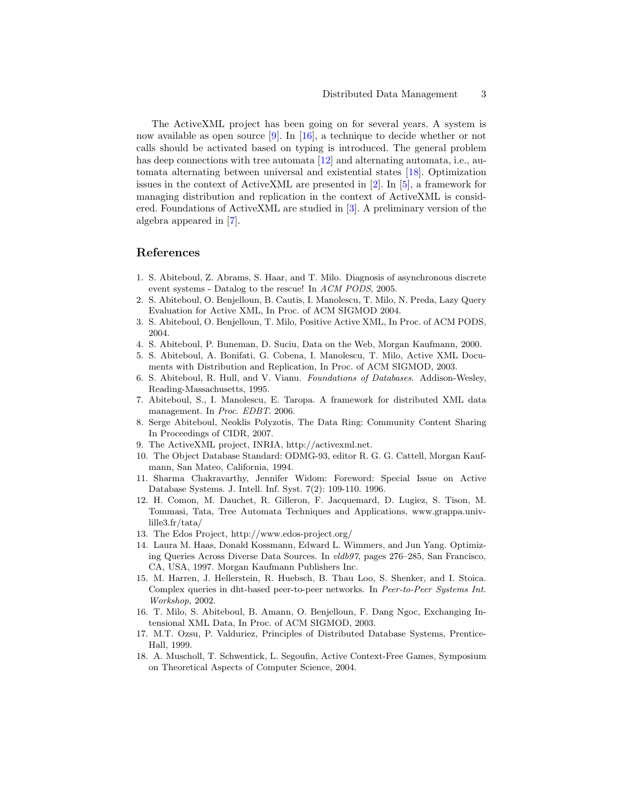The ActiveXML project has been going on for several years. A system is now available as open source  $[9]$ . In  $[16]$ , a technique to decide whether or not calls should be activated based on typing is introduced. The general problem has deep connections with tree automata [\[12\]](#page-2-5) and alternating automata, i.e., automata alternating between universal and existential states [\[18\]](#page-2-6). Optimization issues in the context of ActiveXML are presented in [\[2\]](#page-2-7). In [\[5\]](#page-2-8), a framework for managing distribution and replication in the context of ActiveXML is considered. Foundations of ActiveXML are studied in [\[3\]](#page-2-9). A preliminary version of the algebra appeared in [\[7\]](#page-2-10).

## References

- 1. S. Abiteboul, Z. Abrams, S. Haar, and T. Milo. Diagnosis of asynchronous discrete event systems - Datalog to the rescue! In ACM PODS, 2005.
- <span id="page-2-7"></span>2. S. Abiteboul, O. Benjelloun, B. Cautis, I. Manolescu, T. Milo, N. Preda, Lazy Query Evaluation for Active XML, In Proc. of ACM SIGMOD 2004.
- <span id="page-2-9"></span>3. S. Abiteboul, O. Benjelloun, T. Milo, Positive Active XML, In Proc. of ACM PODS, 2004.
- <span id="page-2-8"></span>4. S. Abiteboul, P. Buneman, D. Suciu, Data on the Web, Morgan Kaufmann, 2000.
- 5. S. Abiteboul, A. Bonifati, G. Cobena, I. Manolescu, T. Milo, Active XML Documents with Distribution and Replication, In Proc. of ACM SIGMOD, 2003.
- 6. S. Abiteboul, R. Hull, and V. Vianu. Foundations of Databases. Addison-Wesley, Reading-Massachusetts, 1995.
- <span id="page-2-10"></span>7. Abiteboul, S., I. Manolescu, E. Taropa. A framework for distributed XML data management. In Proc. EDBT. 2006.
- <span id="page-2-1"></span>8. Serge Abiteboul, Neoklis Polyzotis, The Data Ring: Community Content Sharing In Proceedings of CIDR, 2007.
- <span id="page-2-3"></span><span id="page-2-2"></span>9. The ActiveXML project, INRIA, http://activexml.net.
- 10. The Object Database Standard: ODMG-93, editor R. G. G. Cattell, Morgan Kaufmann, San Mateo, California, 1994.
- 11. Sharma Chakravarthy, Jennifer Widom: Foreword: Special Issue on Active Database Systems. J. Intell. Inf. Syst. 7(2): 109-110. 1996.
- <span id="page-2-5"></span>12. H. Comon, M. Dauchet, R. Gilleron, F. Jacquemard, D. Lugiez, S. Tison, M. Tommasi, Tata, Tree Automata Techniques and Applications, www.grappa.univlille3.fr/tata/
- 13. The Edos Project, http://www.edos-project.org/
- 14. Laura M. Haas, Donald Kossmann, Edward L. Wimmers, and Jun Yang. Optimizing Queries Across Diverse Data Sources. In vldb97, pages 276–285, San Francisco, CA, USA, 1997. Morgan Kaufmann Publishers Inc.
- 15. M. Harren, J. Hellerstein, R. Huebsch, B. Thau Loo, S. Shenker, and I. Stoica. Complex queries in dht-based peer-to-peer networks. In Peer-to-Peer Systems Int. Workshop, 2002.
- <span id="page-2-4"></span>16. T. Milo, S. Abiteboul, B. Amann, O. Benjelloun, F. Dang Ngoc, Exchanging Intensional XML Data, In Proc. of ACM SIGMOD, 2003.
- <span id="page-2-0"></span>17. M.T. Ozsu, P. Valduriez, Principles of Distributed Database Systems, Prentice-Hall, 1999.
- <span id="page-2-6"></span>18. A. Muscholl, T. Schwentick, L. Segoufin, Active Context-Free Games, Symposium on Theoretical Aspects of Computer Science, 2004.